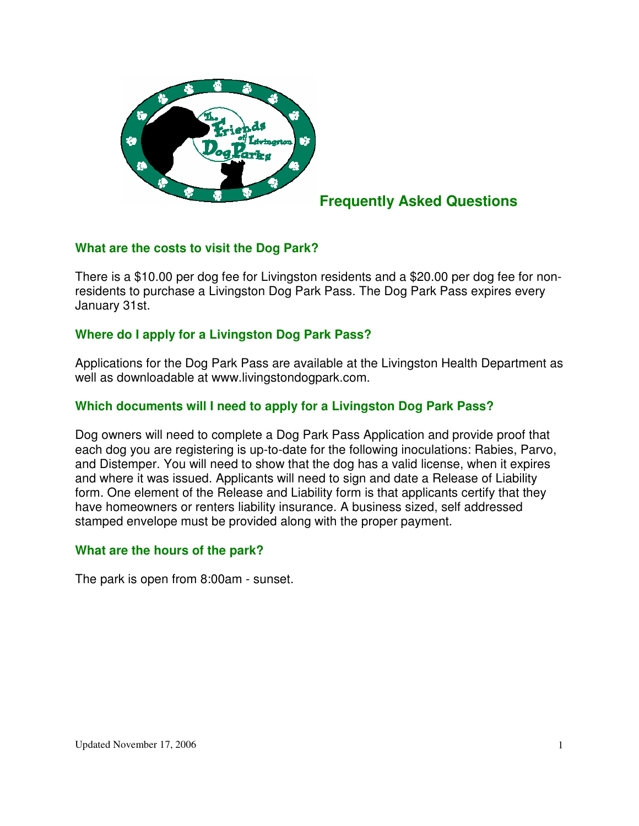

# **Frequently Asked Questions**

## **What are the costs to visit the Dog Park?**

There is a \$10.00 per dog fee for Livingston residents and a \$20.00 per dog fee for nonresidents to purchase a Livingston Dog Park Pass. The Dog Park Pass expires every January 31st.

## **Where do I apply for a Livingston Dog Park Pass?**

Applications for the Dog Park Pass are available at the Livingston Health Department as well as downloadable at www.livingstondogpark.com.

## **Which documents will I need to apply for a Livingston Dog Park Pass?**

Dog owners will need to complete a Dog Park Pass Application and provide proof that each dog you are registering is up-to-date for the following inoculations: Rabies, Parvo, and Distemper. You will need to show that the dog has a valid license, when it expires and where it was issued. Applicants will need to sign and date a Release of Liability form. One element of the Release and Liability form is that applicants certify that they have homeowners or renters liability insurance. A business sized, self addressed stamped envelope must be provided along with the proper payment.

## **What are the hours of the park?**

The park is open from 8:00am - sunset.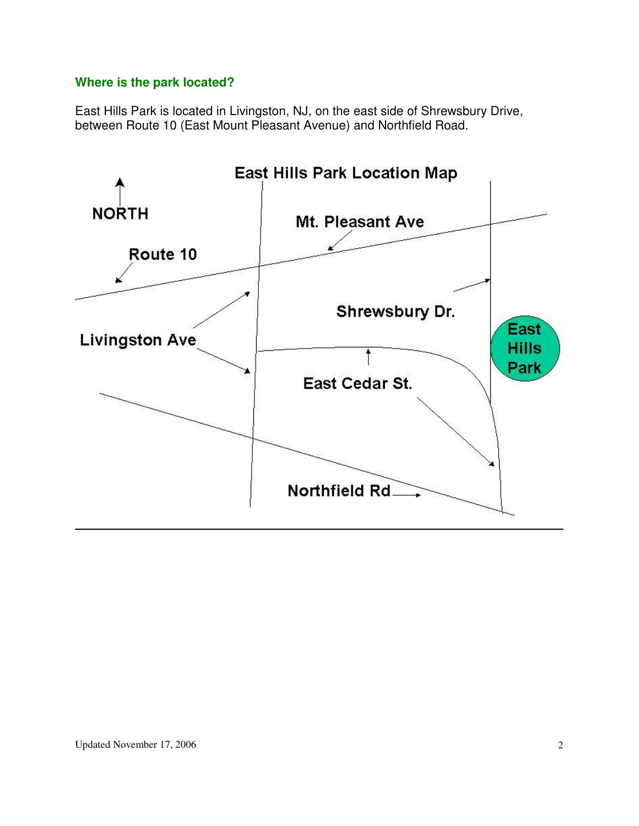## **Where is the park located?**

East Hills Park is located in Livingston, NJ, on the east side of Shrewsbury Drive, between Route 10 (East Mount Pleasant Avenue) and Northfield Road.

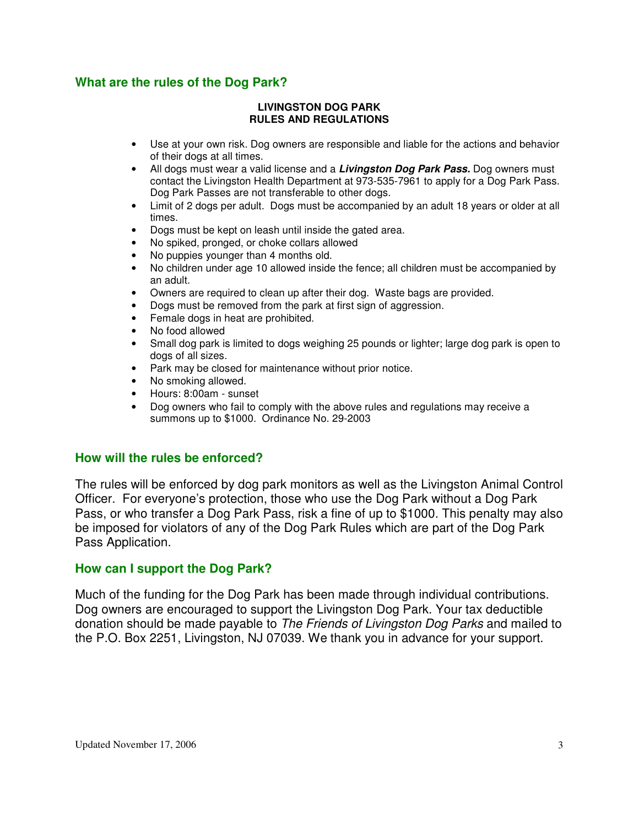## **What are the rules of the Dog Park?**

### **LIVINGSTON DOG PARK RULES AND REGULATIONS**

- Use at your own risk. Dog owners are responsible and liable for the actions and behavior of their dogs at all times.
- All dogs must wear a valid license and a *Livingston Dog Park Pass.* Dog owners must contact the Livingston Health Department at 973-535-7961 to apply for a Dog Park Pass. Dog Park Passes are not transferable to other dogs.
- Limit of 2 dogs per adult. Dogs must be accompanied by an adult 18 years or older at all times.
- Dogs must be kept on leash until inside the gated area.
- No spiked, pronged, or choke collars allowed
- No puppies younger than 4 months old.
- No children under age 10 allowed inside the fence; all children must be accompanied by an adult.
- Owners are required to clean up after their dog. Waste bags are provided.
- Dogs must be removed from the park at first sign of aggression.
- Female dogs in heat are prohibited.
- No food allowed
- Small dog park is limited to dogs weighing 25 pounds or lighter; large dog park is open to dogs of all sizes.
- Park may be closed for maintenance without prior notice.<br>• No smoking allowed.
- No smoking allowed.
- Hours: 8:00am sunset
- Dog owners who fail to comply with the above rules and regulations may receive a summons up to \$1000. Ordinance No. 29-2003

### **How will the rules be enforced?**

The rules will be enforced by dog park monitors as well as the Livingston Animal Control Officer. For everyone's protection, those who use the Dog Park without a Dog Park Pass, or who transfer a Dog Park Pass, risk a fine of up to \$1000. This penalty may also be imposed for violators of any of the Dog Park Rules which are part of the Dog Park Pass Application.

### **How can I support the Dog Park?**

Much of the funding for the Dog Park has been made through individual contributions. Dog owners are encouraged to support the Livingston Dog Park. Your tax deductible donation should be made payable to *The Friends of Livingston Dog Parks* and mailed to the P.O. Box 2251, Livingston, NJ 07039. We thank you in advance for your support.